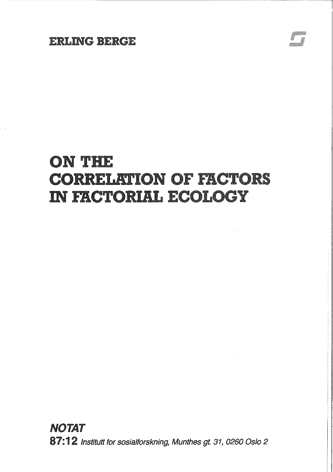# ON THE **CORRELATION OF FACTORS IN FACTORIAL ECOLOGY**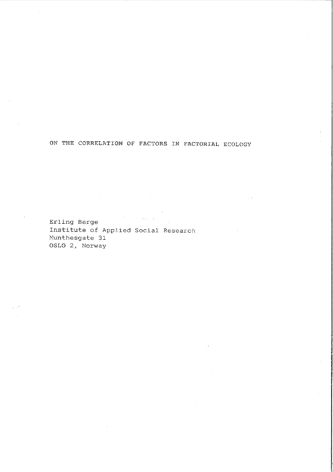ON THE CORRELATION OF FACTORS IN FACTORIAL ECOLOGY

Erling Berge Institute of Applied Social Research Munthesgate 31 OSLO 2, Norway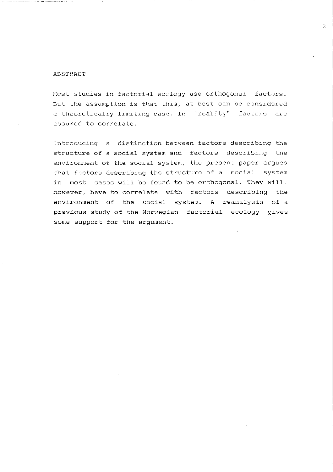### ABSTRACT

Most studies in factorial ecclogy use orthogonal factors. 3ut the assumption is that this, at best can be considered 3 theoretically limiting case. In "reality" **factcrs are**  assumed to correlate.

Introducing a distinction between factors describing the structure of a social system and factors describing the environment of the social system, the present paper argues that factors describing the structure of a social system in most cases will be found to be orthogonal. They will, nowever, have to correlate with factors describing the environment of the social system. A reanalysis of a previous study of the Norwegian factorial ecology gives some support for the argument.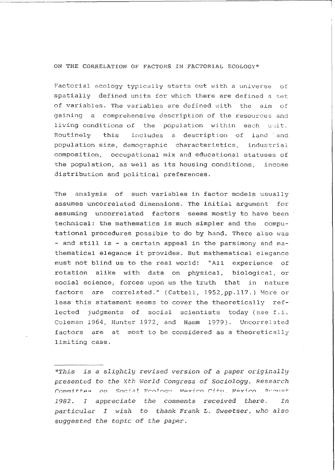#### ON THE CORRELATION OF FACTORS IN FACTORIAL ECOLOGY\*

Factorial ecology typically starts out with a universe of spatially defined units for which there are defined a set of variables. The variables are defined with the aim of gaining a comprehensive description of the resources and living conditions of the population within each unit. Routinely this includes a description of land and population size, demographic characteristics, industrial composition, occupational mix and educational statuses of the population, as well as its housing conditions, income distribution and political preferences.

The analysis of such variables in factor models usually assumes uncorrelated dimensions. The initial argument for assuming uncorrelated factors seems mostly to have been technical: the mathematics is much simpler and the computational procedures possible to do by hand. There also was - and still is - a certain appeal in the parsimony and mathematical elegance it provides. But mathematical elegance must not blind us to the real world: "All experience of rotation alike with data on physical, biological, or social science, forces upon us the truth that in nature factors are correlated." (Cattell, 1952,pp.117.) More or less this statement seems to cover the theoretically reflected judgments of social scientists today (see f.i. Coleman 1964, Hunter 1972, and Hamm 1979). Uncorrelated factors are at most to be considered as a theoretically limiting case.

*\*This is* a *slightly revised version of* a *paper originally presented to the Xth* World *Congress of Sociology, Research*  Committee on Social Frology Mexico City, Mexico Broust *1982. I appreciate the comments received there. In particular I wish* to *thank Frank L. Sweetser, who also suggested the topic of the* paper.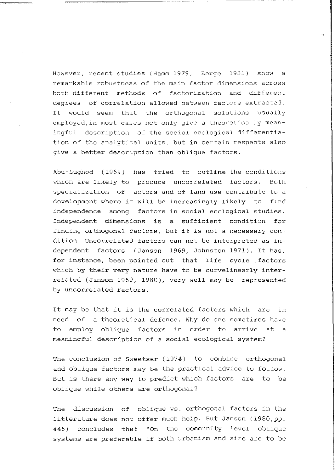However, recent studies (Hamm 1979, Berge 1981) show a remarkable robustnesa of the main factor dimensions across both different methods of factorization and different degrees of correlation allowed between factors extracted. It would seem that the orthogonal solutions usually employed,in most cases not only give a theoretically meaningful description of the social ecological differentiation of the analytical units, but in certain respects also give a better description than oblique factors.

ă.

Abu-Lughod (1969) has tried to outline the conditions which are likely to produce uncorrelated factors. Both 3pecialization of actors and of land use contribute to a development where it will be increasingly likely to find independence among factors in social ecological studies. Independent dimensions is a sufficient condition for finding orthogonal factors, but it is not a necessary condition. Uncorrelated factors can not be interpreted as independent factors (Janson 1969, Johnston 1971). It has, for instance, been pointed out that life cycle factors which by their very nature have to be curvelinearly interrelated (Janson 1969, 1980), very well may be represented by uncorrelated factors.

It may be that it is the correlated factors which are in need of a theoretical defence. Why do one sometimes have to employ oblique factors in order to arrive at a meaningful description of a social ecological system?

The conclusion of Sweetser (1974) to combine orthogonal and oblique factors may be the practical advice to follow. But is there any way to predict which factors are to be oblique while others are orthogonal?

The discussion of oblique vs. orthogonal factors in the litterature does not offer much help. But Janson (1980,pp. 446) concludes that "On the community level oblique systems are preferable if both urbanism and size are to be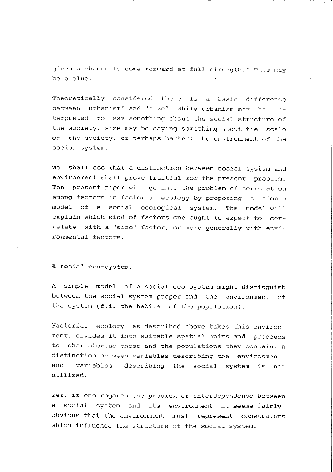given a chance to come forward at full strength." This may be a clue.

Theoretically considered there is a basic difference **between ''urbanism <sup>1</sup> ' and <sup>11</sup> si.zei <sup>1</sup>** ~ **While urbanism may be in**terpreted to say something about the social structure of the society, size may be saying something about the scale of the society, or perhaps better; the environment of the social system.

We shall see that a distinction between social system and environment shall prove fruitful for the present problem. The present paper will go into the problem of correlation among factors in factorial ecology by proposing a simple model of a social ecological system. The model will explain which kind of factors one ought to expect to correlate with a "size" factor, or more generally with environmental factors.

A social eco-system.

A simple model of a social eco-system might distinguish between the social system proper and the environment of the system (f.i. the habitat of the population).

Factorial ecology as described above takes this environment, divides it into suitable spatial units and proceeds to characterize these and the populations they contain. A distinction between variables describing the environment and variables describing the social system is not utilized.

Yet, if one regards the problem of interdependence between a social system and its environment it seems fairly obvious that the environment must represent constraints which influence the structure of the social system.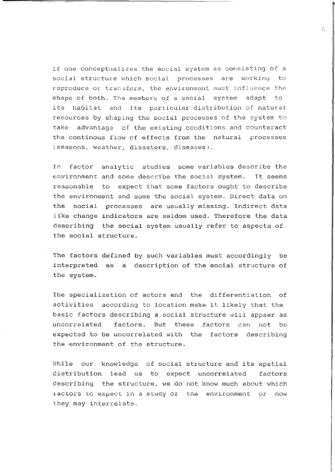If one conceptualizes the social system as consisting of a social structure which social processes are working to reproduce or transform, the environment must influence the shape of both. The members of a social system adapt to its habitat and its particular distribution of natural resources by shaping the social processes of the system to take advantage of the existing conditions and counteract the continous flow of effects from the natural processes (seasons, weather, disasters, diseases).

In factor analytic studies some variables describe the environment and some describe the social system. It seems reasonable to expect that some factors ought to describe the environment and some the social system. Direct data on the social processes are usually missing. Indirect data like change indicators are seldom used. Therefore the data describing the social system usually refer to aspects of the social structure.

The factors defined by such variables must accordingly be interpreted as a description of the social structure of the system.

The specialization of actors and the differentiation of activities according to location make it likely that the basic factors describing a social structure will appaer as uncorrelated factors. But these factors can not be expected to be uncorrelated with the factors describing the environment of the structure.

While our knowledge of social structure and its spatial distribution lead us to expect uncorrelated factors describing the structure, we do not know much about which 1 actors to expect in a study of the environment or how they may interrelate.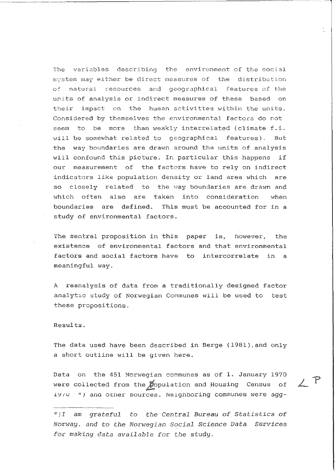The variables describing the environment of the social system may either be direct measures of the distribution of natural resources and geographical features of the units of analysis or indirect measures of these based on their impact on the human activittes within the units. Considered by themselves the environmental factors do not seem to be more than weakly interrelated (climate f.i. will be somewhat related to geographical features). But the way boundaries are drawn around the units of analysis will confound this picture. In particular this happens if our measurement of the factors have to rely on indirect indicators like population density or land area which are so closely related to the way boundaries are drawn and which often also are taken into consideration when boundaries are defined. This must be accounted for in a study of environmental factors.

The sentral proposition in this paper is, however, the existence of environmental factors and that environmental factors and social factors have to intercorrelate in a meaningful way.

A reanalysis of data from a traditionally designed factor analytic study of Norwegian Communes will be used to test these propositions.

Results.

The data used have been described in Berge (1981), and only a short outline will be given here.

Data on the 451 Norwegian communes as of l. January 1970 were collected from the *p*opulation and Housing Census of 1970 \*) and other sources. Neighboring communes were agg-

 $2P$ 

*<sup>\*</sup>JI am grateful to the* Central Bureau *of Statistics of Norway,* and *to the Norwegian Social Science Data Services*  for *making data available for the study.*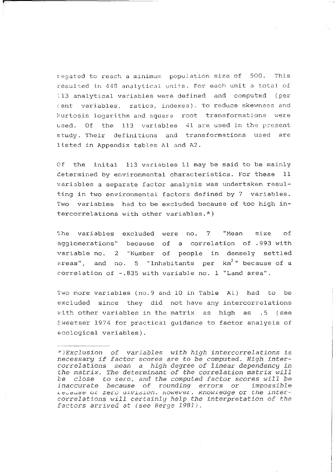regated to reach a minimum population size of 500. This resulted in 448 analytical units. For each unit a total of !13 analytical variables were defined and computed (per :ent variables, ratios, indexes). To reduce skewness and kurtosis logarithm and square root transformations were used. Of the 113 variables 41 are used in the present study. Their definitions and transformations used are listed in Appendix tables Al and A2.

Of the inital 113 variables 11 may be said to be mainly determined by environmental characteristics. For these 11 variables a separate factor analysis was undertaken resulting in two environmental factors defined by 7 variables. Two variables had to be excluded because of too high intercorrelations with other variables.\*)

1he variables excluded were no. 7 **"Mean** size of agglomerations" because of a correlation of .993 with variable no. 2 "Number of people in densely settled areas", and no. 5 "Inhabitants per km<sup>2</sup>" because of a correlation of -.835 with variable no. 1 "Land area".

Two more variables (no.9 and 10 in Table Al) had to be excluded since they did not have any intercorrelations with other variables in the matrix as high as .5 (see Eweetser 1974 for practical guidance to factor analysis of ecological variables).

*<sup>\*)</sup>Exclusion of variables with high* intercorrelations *is*  necessary *if* factor *scores* are *to be computed. High intercorrelations mean* a *high degree of linear dependency in the matrix. The determinant of the correlation matrix will be close to* zero, *and the computed factor* scores *will be inaccurate because of rounding* errors or *impossible*  ;\_ c~ctu6e uL zero *<.1.LV.L:oi.LOil. 11owever, xnowiedge* or *che .Lnt:ercorrelations will certainly help the* interpretation *of the factors arrived* at *(see Berge 1981).*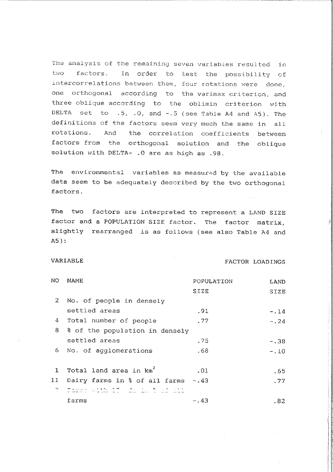The analysis of the remaining seven variables resulted in two factors. In order to test the possibility of intercorrelations between them, four rotations were done, one orthogonal according to the varimax criterion, and three oblique according to the oblimin criterion with DELTA set to  $.5, .0,$  and  $-.5$  (see Table A4 and A5). The definitions of the factors **seem** very much the same in all rotations. And the correlation coefficients between factors from the orthogonal solution and the oblique solution with DELTA= . 0 are as high as . 98.

The environmental variables as measured by the available data seem to be adequately described by the two orthogonal factors.

The two factors are interpreted to represent a LAND SIZE factor and a POPULATION SIZE factor. The factor matrix, slightly rearranged is as follows (see also Table A4 and A5):

#### VARIABLE FACTOR LOADINGS

| NO              | NAME                               | POPULATION | <b>LAND</b> |
|-----------------|------------------------------------|------------|-------------|
|                 |                                    | SIZE       | SIZE        |
| 2               | No. of people in densely           |            |             |
|                 | settled areas                      | .91        | $-.14$      |
| 4               | Total number of people             | .77        | $-0.24$     |
| 8               | % of the population in densely     |            |             |
|                 | settled areas                      | . 75       | $-.38$      |
| 6.              | No. of agglomerations              | . 68       | $-.10$      |
|                 |                                    |            |             |
| 1               | Total land area in km <sup>2</sup> | .01        | - 65        |
| 11 <sub>1</sub> | Dairy farms in % of all farms      | -.43       | .77         |
| $\sim$          | istando de crimerat                |            |             |
|                 | farms                              | - 43       | . 82        |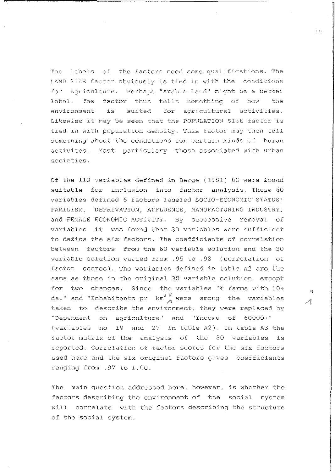The labels of the factors need some qualifications. The LAND SIZE factor obviously is tied in with the conditions for acriculture. Perhaps "arable land" might be a better label. The factor thus tells something of how the suited for agricultural activities. environment is Likewise it may be seen that the POPULATION SIZE factor is tied in with population density. This factor may then tell something about the conditions for certain kinds of human activites. Most particulary those associated with urban societies.

Of the 113 variables defined in Berge (1981) 60 were found suitable for inclusion into factor analysis, These 60 variables defined 6 factors labeled SOCIO-ECONOMIC STATUS; FAMILISM. DEPRIVATION. AFFLUENCE. MANUFACTURING INDUSTRY. and FEMALE ECONOMIC ACTIVITY. By successive removal of variables it was found that 30 variables were sufficient to define the six factors. The coefficients of correlation between factors from the 60 variable solution and the 30 variable solution varied from .95 to .98 (correlation of factor scores). The varianles defined in table A2 are the same as those in the original 30 variable solution except for two changes. Since the variables "% farms with 10+ da." and "Inhabitants pr  $km^2$ " were among the variables taken to describe the environment, they were replaced by "Dependent on agriculture" and "Income of 60000+" (variables no 19 and 27 in table A2). In table A3 the factor matrix of the analysis of the 30 variables is reported. Correlation of factor scores for the six factors used here and the six original factors gives coefficients ranging from .97 to 1.00.

The main question addressed here, however, is whether the factors describing the environment of the social system will correlate with the factors describing the structure of the social system.

t e

 $\mathfrak{g}_B$ 

 $\mathbb{Z}^2$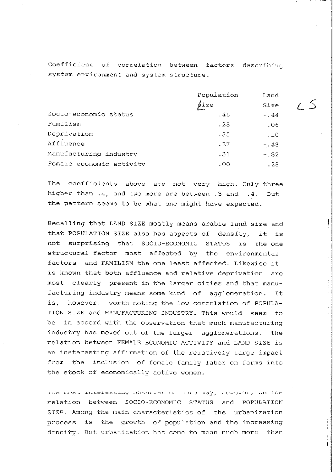**Coefficient of correlation between factors describing**  system environment and system structure.

|                          | Population | Land   |
|--------------------------|------------|--------|
|                          | śize       | Size   |
| Socio-economic status    | .46        | $-.44$ |
| Familism                 | . 23       | .06    |
| Deprivation              | .35        | .10    |
| Affluence                | .27        | $-.43$ |
| Manufacturing industry   | .31        | $-.32$ |
| Female economic activity | .00        | .28    |

The coefficients above are not very high. Only three higher than .4, and two more are between .3 and .4. But the pattern seems to be what one might have expected.

Recalling that LAND SIZE mostly means arable land size and that POPULATION SIZE also has aspects of density, it is not surprising that SOCIO-ECONOMIC STATUS is the one structural factor most affected by the environmental factors and FAMILISM the one least affected. Likewise it is known that both affluence and relative deprivation are most clearly present in the larger cities and that manufacturing industry means some kind of agglomeration. It **is,** however, worth noting the low correlation of POPULA-TION SIZE and MANUFACTURING INDUSTRY. This would seem to be in accord with the observation that much manufacturing industry has moved out of the larger agglomerations. The relation between FEMALE ECONOMIC ACTIVITY and LAND SIZE is an insteresting affirmation of the relatively large impact from the inclusion of female family labor on farms into the stock of economically active women.

ine most interesting coservation nere may, however, we the relation between SOCIO-ECONOMIC STATUS and POPULATION SIZE. Among the main characteristics of the urbanization process is the growth of population and the increasing density. But urbanization has come to mean much more than

s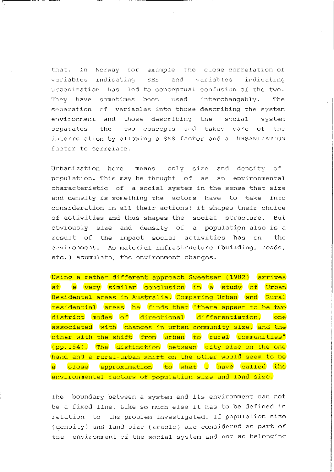that. In Norway for example the close correlation of variables indicating SES and variables indicating urbanization has led to conceptual confusion of the two. They have sometimes been used interchangably. The separation cf variables into those describing the system environment and those describing the social system separates the two concepts and takes care of the interrelation by allowing a SES factor and a URBANIZATION factor to correlate.

Urbanization here **means** only size and density of pcpulation. This may be thought of as an environmental characteristic of a social system in the sense that size and density is something the actors have to take into consideration in all their actions: it shapes their choice of activities and thus shapes the social structure. But obviously size and density of a population also is a result of the impact social activities has on the environment. As material infrastructure (building, roads, etc.) acumulate, the environment changes.

Using a rather different approach Sweetser (1982) arrives at a very similar conclusion in a study of Urban Residental areas in Australia. Comparing Urban and Rural residential areas he finds that "there appear to be two district modes of directional differentiation, one associated with changes in urban community size, and the other with the shift from urban to rural communities" (pp.154). The distinction between city size on the one hand and a rural-urban shift on the other would seem to be a close approximation to what I have called the environmental factors of population size and land size.

The boundary between a system and its environment can not be a fixed line. Like so much else it has to be defined in relation to the problem investigated. If population size (density) and land size (arable) are considered as part of the environment of the social system and not as belonging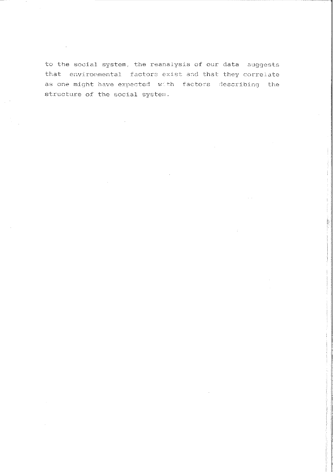to the social system. the reanalysis of our data suggests that environmental factors exist and that they correlate as one might have expected with factors describing the structure of the social system.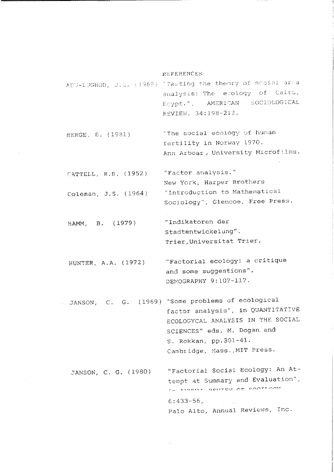#### REFERENCES

ABU-LUGHOD, J.L. (1969) "Testing the theory of social area analysis: The ecology of Cairo, Ecypt.", AMERICAN SOCIOLOGICAL REVIEW. 34:198-212.

"The social ecology of human BERGE, E. (1981) fertility in Norway 1970. Ann Arboar, University Microfilms.

"Factor analysis." CATTELL, R.B. (1952) New York, Harper Brothers "Introduction to Mathematical Coleman, J.S. (1964) Sociology", Glencoe, Free Press.

"Indikatoren der HAMM, B. (1979) Stadtentwickelung". Trier, Universitat Trier.

"Factorial ecology: a critique HINTER. A.A. (1972) and some suggestions". DEMOGRAPHY 9:107-117.

JANSON, C. G. (1969) "Some problems of ecological factor analysis", in QUANTITATIVE ECOLOGYCAL ANALYSIS IN THE SOCIAL SCIENCES" eds. M. Dogan and S. Rokkan, pp. 301-41. Cambridge, Mass., MIT Press.

"Factorial Social Ecology: An At-JANSON, C. G. (1980) tempt at Summary and Evaluation", LA TENDE DO MOTTON DE COOTEOON  $6:433-56$ . Palo Alto, Annual Reviews, Inc.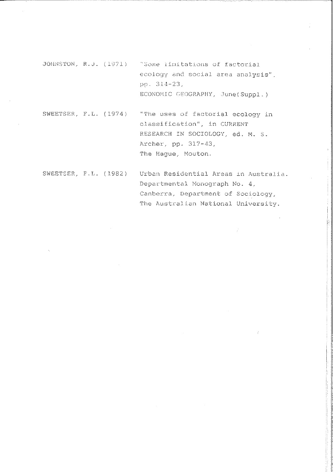JOHNSTON, R.J. (1971) "Some limitations of factorial ecology and social area analysis". pp. 314-23, ECONOMIC GEOGRAPHY, June (Suppl.)

SWEETSER, F.L. (1974) "The uses of factorial ecology in classification", in CURRENT RESEARCH IN SOCIOLOGY, ed. M. S. Archer, pp. 317-43, The Haque, Mouton.

SWEETSER, F.L. (1982) Urban Residential Areas in Australia. Departmental Monograph No. 4, Canberra, Department of Sociology, The Australian National University.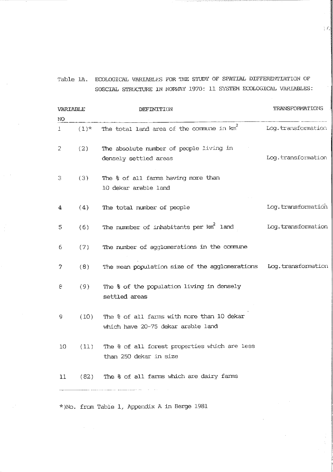Table 1A. ECOLOGICAL VARIABLES FOR THE STUDY OF SPATIAL DIFFERENTIATION OF SOSCIAL STRUCTURE IN NORWAY 1970: 11 SYSTEM ECOLOGICAL VARIABLES:

| VARIABLE |         | DEFINITION                                                                       | TRANSFORMATIONS    |  |
|----------|---------|----------------------------------------------------------------------------------|--------------------|--|
| NO       |         |                                                                                  |                    |  |
| 1        | $(1)$ * | The total land area of the commune in $km^2$                                     | Log.transformation |  |
| 2        | (2)     | The absolute number of people living in<br>densely settled areas                 | Log.transformation |  |
| з        | (3)     | The & of all farms having more than<br>10 dekar arable land                      |                    |  |
| 4        | (4)     | The total number of people                                                       | Log.transformation |  |
| 5        | (6)     | The nummber of inhabitants per $km^2$ land                                       | Log.transformation |  |
| 6        | (7)     | The number of agglomerations in the commune                                      |                    |  |
| 7        | (8)     | The mean population size of the agglomerations                                   | Log.transformation |  |
| 8        | (9)     | The & of the population living in densely<br>settled areas                       |                    |  |
| 9        | (10)    | The & of all farms with more than 10 dekar<br>which have 20-75 dekar arable land |                    |  |
| 10       | (11)    | The % of all forest properties which are less<br>than 250 dekar in size          |                    |  |
| 11       |         | (82) The $\frac{1}{6}$ of all farms which are dairy farms                        |                    |  |
|          |         |                                                                                  |                    |  |

\*}No. frcm Table 1, Appendix A in Berge 1981

тď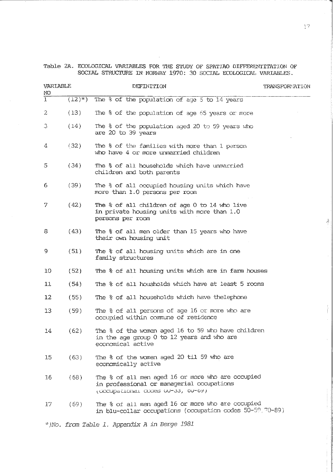Table 2A. ECOLOGICAL VARIABLES FOR THE STUDY OF SPATIAO DIFFERENTITATION OF SOCIAL STRUCTURE IN NORWAY 1970: 30 SOCIAL ECOLOGICAL VARIABLES.

| VARIABLE<br>NO |         | DEFINITION                                                                                                                          | <b>TRANSFORMATION</b> |  |
|----------------|---------|-------------------------------------------------------------------------------------------------------------------------------------|-----------------------|--|
| $\mathbf{1}$   | $(12)*$ | The $\frac{1}{6}$ of the population of age 5 to 14 years                                                                            |                       |  |
| 2              | (13)    | The & of the population of age 65 years or more                                                                                     |                       |  |
| 3              | (14)    | The % of the population aged 20 to 59 years who<br>are 20 to 39 years                                                               |                       |  |
| 4              | (32)    | The % of the families with more than 1 person<br>who have 4 or more unmarried children                                              |                       |  |
| 5              | (34)    | The & of all households which have unmarried<br>children and both parents                                                           |                       |  |
| 6              | (39)    | The % of all occupied housing units which have<br>more than 1.0 persons per room                                                    |                       |  |
| 7              | (42)    | The % of all children of age 0 to 14 who live<br>in private housing units with more than 1.0<br>persons per room                    |                       |  |
| 8              | (43)    | The % of all men older than 15 years who have<br>their own housing unit                                                             |                       |  |
| 9              | (51)    | The % of all housing units which are in one<br>family structures                                                                    |                       |  |
| 10             | (52)    | The % of all housing units which are in farm houses                                                                                 |                       |  |
| 11             | (54)    | The % of all housholds which have at least 5 rooms                                                                                  |                       |  |
| 12             | (55)    | The % of all households which have thelephone                                                                                       |                       |  |
| 13             | (59)    | The % of all persons of age 16 or more who are<br>occupied within commune of residence                                              |                       |  |
| 14             | (62)    | The % of the women aged 16 to 59 who have children<br>in the age group 0 to 12 years and who are<br>economical active               |                       |  |
| 15             | (63)    | The % of the women aged 20 til 59 who are<br>economically active                                                                    |                       |  |
| 16             | (68)    | The % of all men aged 16 or more who are occupied<br>in professional or managerial occupations<br>(OCCUPACIONAL CODES UU-33, 0U-69) |                       |  |
| 17.            | (69)    | The % of all men aged 16 or more who are occupied<br>in blu-collar occupations (occupation codes 50-59, 70-89)                      |                       |  |
|                |         | * No. from Table 1. Appendix A in Berge 1981                                                                                        |                       |  |

17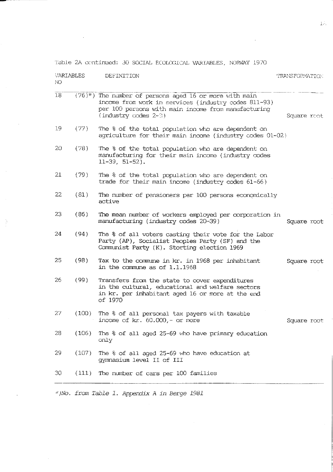Table 2A continued: 30 SOCIAL ECOLOGICAL VARIABLES, NORWAY 1970

| VARIABLES<br>NO. |       | DEFINITION                                                                                                                                                                                            | TRANSFORMATION: |
|------------------|-------|-------------------------------------------------------------------------------------------------------------------------------------------------------------------------------------------------------|-----------------|
| 18               |       | $(76)^{*}$ ) The number of persons aged 16 or more with main<br>income from work in services (industry codes 811-93)<br>per 100 persons with main income from manufacturing<br>$(industry codes 2-3)$ | Square root     |
| 19               | (77)  | The % of the total population who are dependent on<br>agriculture for their main income (industry codes 01-02)                                                                                        |                 |
| 20               | (78)  | The % of the total population who are dependent on<br>manufacturing for their main income (industry codes<br>$11-39, 51-52$ ).                                                                        |                 |
| 21               | (79)  | The % of the total population who are dependent on<br>trade for their main income (industry codes $61-66$ )                                                                                           |                 |
| 22               | (81)  | The number of pensioners per 100 persons economically<br>active                                                                                                                                       |                 |
| 23               | (86)  | The mean number of workers employed per corporation in<br>manufacturing (industry codes 20-39)                                                                                                        | Square root     |
| 24               | (94)  | The & of all voters casting their vote for the Labor<br>Party (AP), Socialist Peoples Party (SF) and the<br>Communist Party (K). Storting election 1969                                               |                 |
| 25               | (98)  | Tax to the commune in kr. in 1968 per inhabitant<br>in the commune as of $1.1.1968$                                                                                                                   | Square root     |
| 26               | (99)  | Transfers from the state to cover expenditures<br>in the cultural, educational and welfare sectors<br>in kr. per inhabitant aged 16 or more at the end<br>of 1970                                     |                 |
| 27               | (100) | The & of all personal tax payers with taxable<br>income of $kr. 60.000 - or more$                                                                                                                     | Square root     |
| 28               | (106) | The & of all aged 25-69 who have primary education<br>only                                                                                                                                            |                 |
| 29.              | (107) | The & of all aged 25-69 who have education at<br>gymnasium level II of III                                                                                                                            |                 |
| 30               | (111) | The number of cars per 100 families                                                                                                                                                                   |                 |
|                  |       | *)No. from Table 1. Appendix A in Berge 1981                                                                                                                                                          |                 |

 $\frac{1}{2}$ 

 $\sim$ 

 $1\,h^{-1}$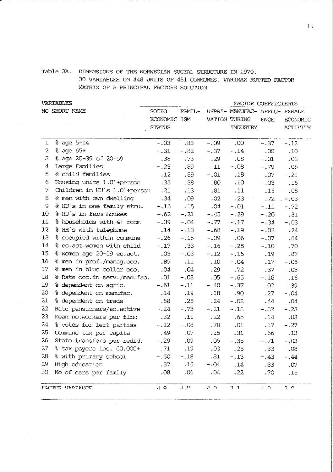#### Table 3A. DIMENSIONS OF THE NORWEGIAN SOCIAL STRUCTURE IN 1970 30 VARIABLES ON 448 UNITS OF 451 COMMUNES, VARIMAX ROTTED FACTOR

MATRIX OF A PRINCIPAL FACTORS SOLUTION

**VARTABLES** FACTOR COEFFICIENTS NO SHORT NAME **SOCIO** DEPRI- MANUFAC- AFFIJ-FAMTI-FEMALE. **FOONOMIC ISM** VATION TURING ECONOMIC **ENCE STATUS** INDUSTRY **ACTIVITY** % age 5-14  $\mathbf{1}$  $-.09$  $-.03$  $.83$  $.00$  $-.37$  $-.12$  $\overline{2}$ % age 65+  $-.31$  $-.82$  $-.37$  $-.14$  $.00.$  $.10$ % age 20-39 of 20-59 3  $.38$  $.73$ .29  $.08$ .08  $-.01$ Large Families 4  $-.23$  $.39$  $-111$  $-.08$  $-.79$  $.05$ 5 % child families  $.12$ .89  $-.01$ .18 .07  $-.21$ 6 Housing units 1.01+person  $.35$  $.38$  $.80$  $.10$  $-.03$  $.16$ 7 Children in HU's 1.01+person  $, 21$  $.13$  $.81$  $.11$  $-.16$  $-.08$ 8 % men with own dwelling  $.34$ .09  $.02$  $-23$  $.72$  $-.03$ % HU's in one family stru.  $\Omega$  $-.16$  $.15$  $.04$  $-.01$  $-.11$  $-.72$ 10 % HU's in farm houses  $-.62$  $-.21$  $-.45$  $-.29$  $-.20$  $.31$ % households with 4+ room  $11$  $-.39$  $-.04$  $-.77$  $-.17$  $-.34$  $-.03$  $12<sup>12</sup>$ % HH's with telephone  $.14$  $.24$  $-.13$  $-.68$  $-.19$  $-.02.$ 13 % occupied within commune  $-.26$  $-.15$  $-.09$  $.06$  $-.07$ .64 14 % ec.act.women with child  $-.17$  $.33$  $-.16$  $-.25$  $-.10$ .70 15 % women age 20-59 ec.act.  $.03$  $-.03$  $-.12$  $-.16$  $.19$  $.87$ 16 % men in prof./manag.occ. .89  $.11$  $.10$  $-.04$  $.17$  $-.05$  $17<sup>7</sup>$ % men in blue collar occ.  $.04$  $.04$  $.29$  $.72$  $.37$  $-.03$ 18 % Rate occ.in serv./manufac.  $.01$  $-.08$  $.05$  $-.65$  $-.16$  $.16$ 19 % dependent on agric.  $-.61$  $-.11$  $-.40$  $-.37$  $.02$ .39  $20<sup>°</sup>$  $.14$  $.90$ % dependent on manufac.  $.19$  $.18$  $.27$  $-.04$  $21 -$ % dependent on trade  $.68$  $.25$  $.24$  $-.02$  $.44$  $.04$ 22 Rate pensioners/ec.active  $-.24$  $-.73$  $-.21$  $-.18$  $-.32$  $-.23$ 23 Mean no.workers per firm  $.32$  $.11$  $.22$  $.65$  $.14$  $.03$ 24 % votes for left parties  $-.12$  $-.08$ .78  $.01$  $.17$  $-.27$ 25 Commune tax per capita .49  $.07$  $.15$  $.31$ .66 .13 26 State transfers per redid.  $-.29$ .09  $.05$  $-.35$  $-.71$  $-.03$  $27^{1}$  $\sqrt{71}$  $$$  tax payers inc.  $60.000+$  $.19$  $.03$  $.25$  $.33$  $-0.08$ 28 % with primary school  $-.50$  $.31$  $-.18$  $-.13$  $-.43$  $-.44$ 29 High education .87  $.16$  $-.04$  $.14$ .33  $.07$  $.08$  $0.04$ 30 No of cars per family  $.06$  $.22$  $.70$ .15 FACTOR VARIAME  $A$   $Q$  $\triangle$   $\triangle$  $\Lambda$   $\Omega$  $2<sub>1</sub>$  $\Lambda$   $\Omega$  $\overline{\circ}$   $\overline{\circ}$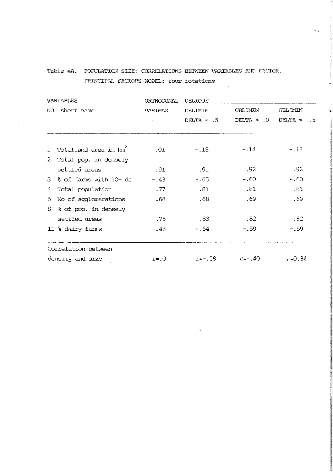## Table 4A. POPULATION SIZE: CORRELATIONS BETWEEN VARIABLES AND FACTOR. PRINCIPAL FACTORS MODEL: four rotations

οý.

| <b>VARIABLES</b> |                                   | ORTHOGONAL | OBLIQUE        |                |                |  |
|------------------|-----------------------------------|------------|----------------|----------------|----------------|--|
| NO short name    |                                   | VARIMAX    | <b>OBLIMIN</b> | <b>OBLIMIN</b> | <b>OBLIMIN</b> |  |
|                  |                                   |            | DELTA = $.5$   | $DELTA = .0$   | DELTA = $-.5$  |  |
| $\mathbf{1}$     | Totalland area in km <sup>2</sup> | .01        | $-.18$         | $-.14$         | $-.13$         |  |
|                  | 2 Total pop. in densely           |            |                |                |                |  |
|                  | settled areas                     | .91        | .91            | .92            | .92            |  |
|                  | $3% of forms with 10+da$          | $-.43$     | $-.65$         | -.60           | $-.60$         |  |
| 4                | Total population                  | .77        | .81            | .81            | .81            |  |
| 6                | No of agglomerations              | .68        | .68            | .69            | .69            |  |
|                  | 8 % of pop. in densely            |            |                |                |                |  |
|                  | settled areas                     | .75        | .83            | .82            | .82            |  |
|                  | 11 % dairy farms                  | $-.43$     | - 64           | $-.59$         | $-.59$         |  |
|                  | Correlation between               |            |                |                |                |  |
| density and size |                                   | $r = 0$    | r=-.58         | $r=-.40$       | $r = 0.34$     |  |